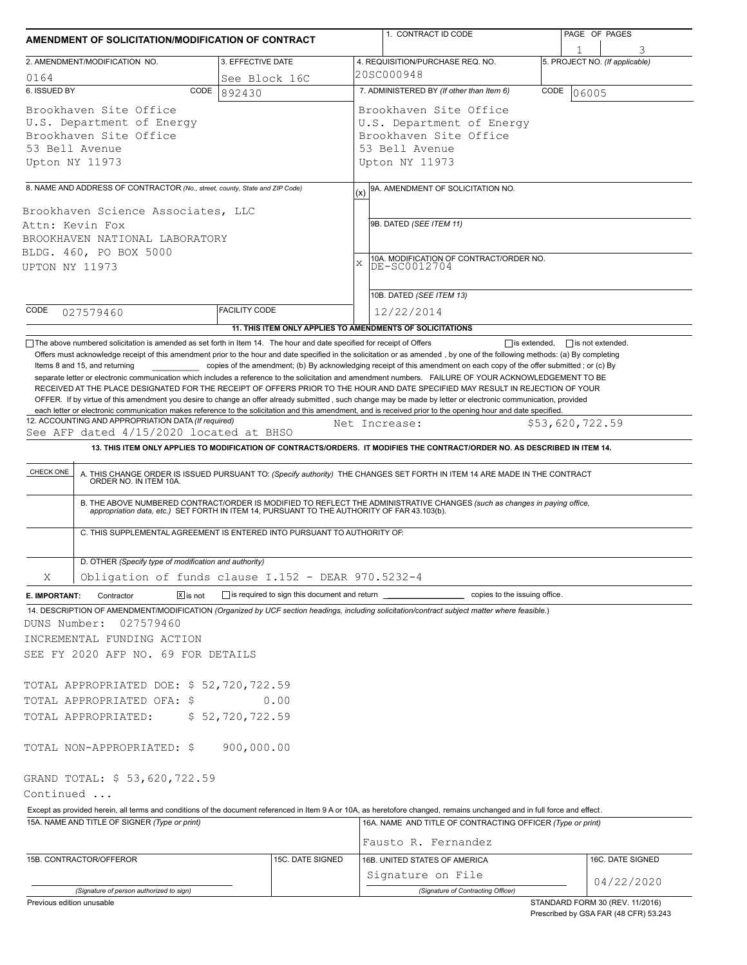|                                                                                                                   | AMENDMENT OF SOLICITATION/MODIFICATION OF CONTRACT                                                                                                                                                           |                                                              | 1. CONTRACT ID CODE                                                                                                                                                                                                                                                                                                                                                                                                                                                                                                                                                                                                           | PAGE OF PAGES                       |  |  |  |
|-------------------------------------------------------------------------------------------------------------------|--------------------------------------------------------------------------------------------------------------------------------------------------------------------------------------------------------------|--------------------------------------------------------------|-------------------------------------------------------------------------------------------------------------------------------------------------------------------------------------------------------------------------------------------------------------------------------------------------------------------------------------------------------------------------------------------------------------------------------------------------------------------------------------------------------------------------------------------------------------------------------------------------------------------------------|-------------------------------------|--|--|--|
|                                                                                                                   | 2. AMENDMENT/MODIFICATION NO.                                                                                                                                                                                | 3. EFFECTIVE DATE                                            | 4. REQUISITION/PURCHASE REQ. NO.                                                                                                                                                                                                                                                                                                                                                                                                                                                                                                                                                                                              | 1<br>5. PROJECT NO. (If applicable) |  |  |  |
| 0164                                                                                                              |                                                                                                                                                                                                              | See Block 16C                                                | 20SC000948                                                                                                                                                                                                                                                                                                                                                                                                                                                                                                                                                                                                                    |                                     |  |  |  |
| 6. ISSUED BY                                                                                                      | CODE                                                                                                                                                                                                         | 892430                                                       | 7. ADMINISTERED BY (If other than Item 6)<br>CODE<br>06005                                                                                                                                                                                                                                                                                                                                                                                                                                                                                                                                                                    |                                     |  |  |  |
| Brookhaven Site Office<br>U.S. Department of Energy<br>Brookhaven Site Office<br>53 Bell Avenue<br>Upton NY 11973 |                                                                                                                                                                                                              |                                                              | Brookhaven Site Office<br>U.S. Department of Energy<br>Brookhaven Site Office<br>53 Bell Avenue<br>Upton NY 11973                                                                                                                                                                                                                                                                                                                                                                                                                                                                                                             |                                     |  |  |  |
|                                                                                                                   |                                                                                                                                                                                                              |                                                              |                                                                                                                                                                                                                                                                                                                                                                                                                                                                                                                                                                                                                               |                                     |  |  |  |
| Attn: Kevin Fox<br>UPTON NY 11973                                                                                 | 8. NAME AND ADDRESS OF CONTRACTOR (No., street, county, State and ZIP Code)<br>Brookhaven Science Associates, LLC<br>BROOKHAVEN NATIONAL LABORATORY<br>BLDG. 460, PO BOX 5000                                |                                                              | 9A. AMENDMENT OF SOLICITATION NO.<br>(x)<br>9B. DATED (SEE ITEM 11)<br>10A. MODIFICATION OF CONTRACT/ORDER NO.<br>DE-SC0012704<br>$\mathbf x$<br>10B. DATED (SEE ITEM 13)                                                                                                                                                                                                                                                                                                                                                                                                                                                     |                                     |  |  |  |
| CODE                                                                                                              | 027579460                                                                                                                                                                                                    | <b>FACILITY CODE</b>                                         | 12/22/2014                                                                                                                                                                                                                                                                                                                                                                                                                                                                                                                                                                                                                    |                                     |  |  |  |
|                                                                                                                   |                                                                                                                                                                                                              |                                                              | 11. THIS ITEM ONLY APPLIES TO AMENDMENTS OF SOLICITATIONS                                                                                                                                                                                                                                                                                                                                                                                                                                                                                                                                                                     |                                     |  |  |  |
|                                                                                                                   |                                                                                                                                                                                                              |                                                              | separate letter or electronic communication which includes a reference to the solicitation and amendment numbers. FAILURE OF YOUR ACKNOWLEDGEMENT TO BE<br>RECEIVED AT THE PLACE DESIGNATED FOR THE RECEIPT OF OFFERS PRIOR TO THE HOUR AND DATE SPECIFIED MAY RESULT IN REJECTION OF YOUR<br>OFFER. If by virtue of this amendment you desire to change an offer already submitted, such change may be made by letter or electronic communication, provided<br>each letter or electronic communication makes reference to the solicitation and this amendment, and is received prior to the opening hour and date specified. |                                     |  |  |  |
|                                                                                                                   | 12. ACCOUNTING AND APPROPRIATION DATA (If required)<br>See AFP dated 4/15/2020 located at BHSO                                                                                                               |                                                              | Net Increase:                                                                                                                                                                                                                                                                                                                                                                                                                                                                                                                                                                                                                 | \$53,620,722.59                     |  |  |  |
|                                                                                                                   | C. THIS SUPPLEMENTAL AGREEMENT IS ENTERED INTO PURSUANT TO AUTHORITY OF:<br>D. OTHER (Specify type of modification and authority)                                                                            |                                                              | A. THIS CHANGE ORDER IS ISSUED PURSUANT TO: (Specify authority) THE CHANGES SET FORTH IN ITEM 14 ARE MADE IN THE CONTRACT ORDER NO. IN ITEM 10A.<br>B. THE ABOVE NUMBERED CONTRACT/ORDER IS MODIFIED TO REFLECT THE ADMINISTRATIVE CHANGES (such as changes in paying office, appropriation data, etc.) SET FORTH IN ITEM 14, PURSUANT TO THE AUTHORITY OF FAR 43.103(b).                                                                                                                                                                                                                                                     |                                     |  |  |  |
| X                                                                                                                 | Obligation of funds clause I.152 - DEAR 970.5232-4                                                                                                                                                           |                                                              |                                                                                                                                                                                                                                                                                                                                                                                                                                                                                                                                                                                                                               |                                     |  |  |  |
|                                                                                                                   | $\boxed{\mathsf{x}}$ is not<br>Contractor                                                                                                                                                                    | is required to sign this document and return <b>solution</b> | ____ copies to the issuing office.                                                                                                                                                                                                                                                                                                                                                                                                                                                                                                                                                                                            |                                     |  |  |  |
|                                                                                                                   |                                                                                                                                                                                                              |                                                              |                                                                                                                                                                                                                                                                                                                                                                                                                                                                                                                                                                                                                               |                                     |  |  |  |
| E. IMPORTANT:<br>DUNS Number:                                                                                     | 027579460<br>INCREMENTAL FUNDING ACTION<br>SEE FY 2020 AFP NO. 69 FOR DETAILS<br>TOTAL APPROPRIATED DOE: \$ 52,720,722.59<br>TOTAL APPROPRIATED OFA: \$<br>TOTAL APPROPRIATED:<br>TOTAL NON-APPROPRIATED: \$ | 0.00<br>\$52,720,722.59<br>900,000.00                        | 14. DESCRIPTION OF AMENDMENT/MODIFICATION (Organized by UCF section headings, including solicitation/contract subject matter where feasible.)                                                                                                                                                                                                                                                                                                                                                                                                                                                                                 |                                     |  |  |  |
|                                                                                                                   | GRAND TOTAL: \$ 53,620,722.59                                                                                                                                                                                |                                                              |                                                                                                                                                                                                                                                                                                                                                                                                                                                                                                                                                                                                                               |                                     |  |  |  |
| Continued                                                                                                         | 15A. NAME AND TITLE OF SIGNER (Type or print)                                                                                                                                                                |                                                              | Except as provided herein, all terms and conditions of the document referenced in Item 9 A or 10A, as heretofore changed, remains unchanged and in full force and effect.<br>16A. NAME AND TITLE OF CONTRACTING OFFICER (Type or print)                                                                                                                                                                                                                                                                                                                                                                                       |                                     |  |  |  |
|                                                                                                                   | 15B. CONTRACTOR/OFFEROR                                                                                                                                                                                      | 15C. DATE SIGNED                                             | Fausto R. Fernandez<br>16B. UNITED STATES OF AMERICA                                                                                                                                                                                                                                                                                                                                                                                                                                                                                                                                                                          | 16C. DATE SIGNED                    |  |  |  |
|                                                                                                                   |                                                                                                                                                                                                              |                                                              | Signature on File                                                                                                                                                                                                                                                                                                                                                                                                                                                                                                                                                                                                             | 04/22/2020                          |  |  |  |

Prescribed by GSA FAR (48 CFR) 53.243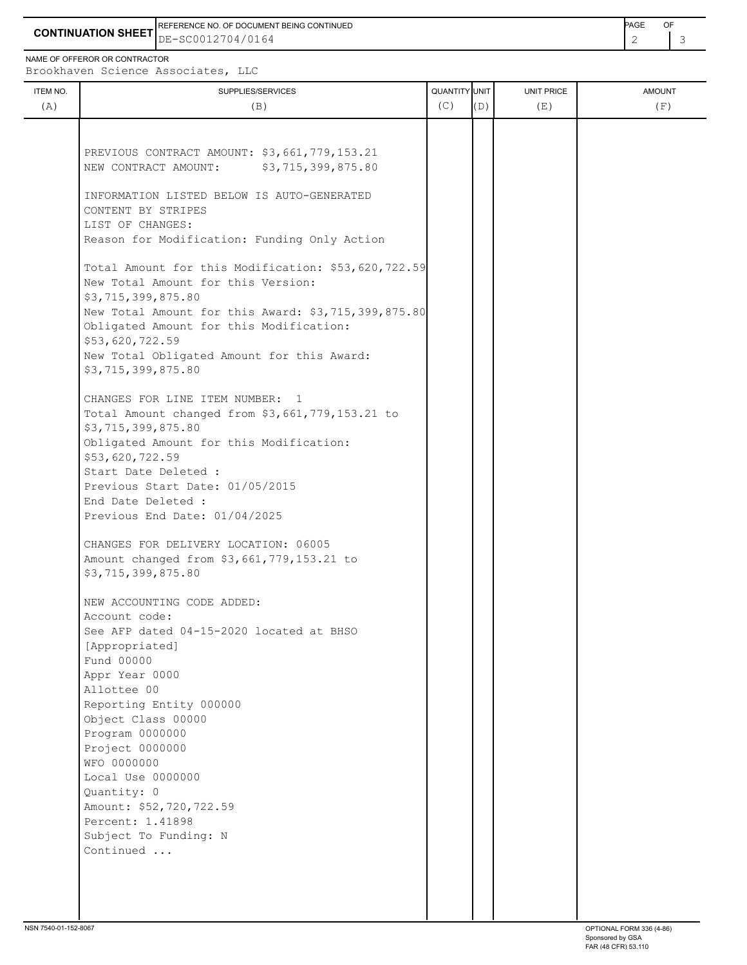**CONTINUATION SHEET** DE-SC0012704/0164 REFERENCE NO. OF DOCUMENT BEING CONTINUED **Example 2008** PAGE OF

NAME OF OFFEROR OR CONTRACTOR

Brookhaven Science Associates, LLC

| ITEM NO.<br>(A) | SUPPLIES/SERVICES<br>(B)                                                                  | QUANTITY UNIT<br>(C) | (D) | UNIT PRICE<br>(E) | <b>AMOUNT</b><br>(F) |
|-----------------|-------------------------------------------------------------------------------------------|----------------------|-----|-------------------|----------------------|
|                 |                                                                                           |                      |     |                   |                      |
|                 |                                                                                           |                      |     |                   |                      |
|                 | PREVIOUS CONTRACT AMOUNT: \$3,661,779,153.21                                              |                      |     |                   |                      |
|                 | \$3,715,399,875.80<br>NEW CONTRACT AMOUNT:                                                |                      |     |                   |                      |
|                 |                                                                                           |                      |     |                   |                      |
|                 | INFORMATION LISTED BELOW IS AUTO-GENERATED                                                |                      |     |                   |                      |
|                 | CONTENT BY STRIPES                                                                        |                      |     |                   |                      |
|                 | LIST OF CHANGES:                                                                          |                      |     |                   |                      |
|                 | Reason for Modification: Funding Only Action                                              |                      |     |                   |                      |
|                 |                                                                                           |                      |     |                   |                      |
|                 | Total Amount for this Modification: \$53,620,722.59<br>New Total Amount for this Version: |                      |     |                   |                      |
|                 | \$3,715,399,875.80                                                                        |                      |     |                   |                      |
|                 | New Total Amount for this Award: \$3,715,399,875.80                                       |                      |     |                   |                      |
|                 | Obligated Amount for this Modification:                                                   |                      |     |                   |                      |
|                 | \$53,620,722.59                                                                           |                      |     |                   |                      |
|                 | New Total Obligated Amount for this Award:                                                |                      |     |                   |                      |
|                 | \$3,715,399,875.80                                                                        |                      |     |                   |                      |
|                 |                                                                                           |                      |     |                   |                      |
|                 | CHANGES FOR LINE ITEM NUMBER: 1                                                           |                      |     |                   |                      |
|                 | Total Amount changed from \$3,661,779,153.21 to                                           |                      |     |                   |                      |
|                 | \$3,715,399,875.80                                                                        |                      |     |                   |                      |
|                 | Obligated Amount for this Modification:                                                   |                      |     |                   |                      |
|                 | \$53,620,722.59                                                                           |                      |     |                   |                      |
|                 | Start Date Deleted :                                                                      |                      |     |                   |                      |
|                 | Previous Start Date: 01/05/2015                                                           |                      |     |                   |                      |
|                 | End Date Deleted :                                                                        |                      |     |                   |                      |
|                 | Previous End Date: 01/04/2025                                                             |                      |     |                   |                      |
|                 |                                                                                           |                      |     |                   |                      |
|                 | CHANGES FOR DELIVERY LOCATION: 06005                                                      |                      |     |                   |                      |
|                 | Amount changed from \$3,661,779,153.21 to<br>\$3,715,399,875.80                           |                      |     |                   |                      |
|                 |                                                                                           |                      |     |                   |                      |
|                 | NEW ACCOUNTING CODE ADDED:                                                                |                      |     |                   |                      |
|                 | Account code:                                                                             |                      |     |                   |                      |
|                 | See AFP dated 04-15-2020 located at BHSO                                                  |                      |     |                   |                      |
|                 | [Appropriated]                                                                            |                      |     |                   |                      |
|                 | Fund 00000                                                                                |                      |     |                   |                      |
|                 | Appr Year 0000                                                                            |                      |     |                   |                      |
|                 | Allottee 00                                                                               |                      |     |                   |                      |
|                 | Reporting Entity 000000                                                                   |                      |     |                   |                      |
|                 | Object Class 00000                                                                        |                      |     |                   |                      |
|                 | Program 0000000                                                                           |                      |     |                   |                      |
|                 | Project 0000000                                                                           |                      |     |                   |                      |
|                 | WFO 0000000                                                                               |                      |     |                   |                      |
|                 | Local Use 0000000                                                                         |                      |     |                   |                      |
|                 | Quantity: 0                                                                               |                      |     |                   |                      |
|                 | Amount: \$52,720,722.59                                                                   |                      |     |                   |                      |
|                 | Percent: 1.41898                                                                          |                      |     |                   |                      |
|                 | Subject To Funding: N<br>Continued                                                        |                      |     |                   |                      |
|                 |                                                                                           |                      |     |                   |                      |
|                 |                                                                                           |                      |     |                   |                      |
|                 |                                                                                           |                      |     |                   |                      |
|                 |                                                                                           |                      |     |                   |                      |
|                 |                                                                                           |                      |     |                   |                      |